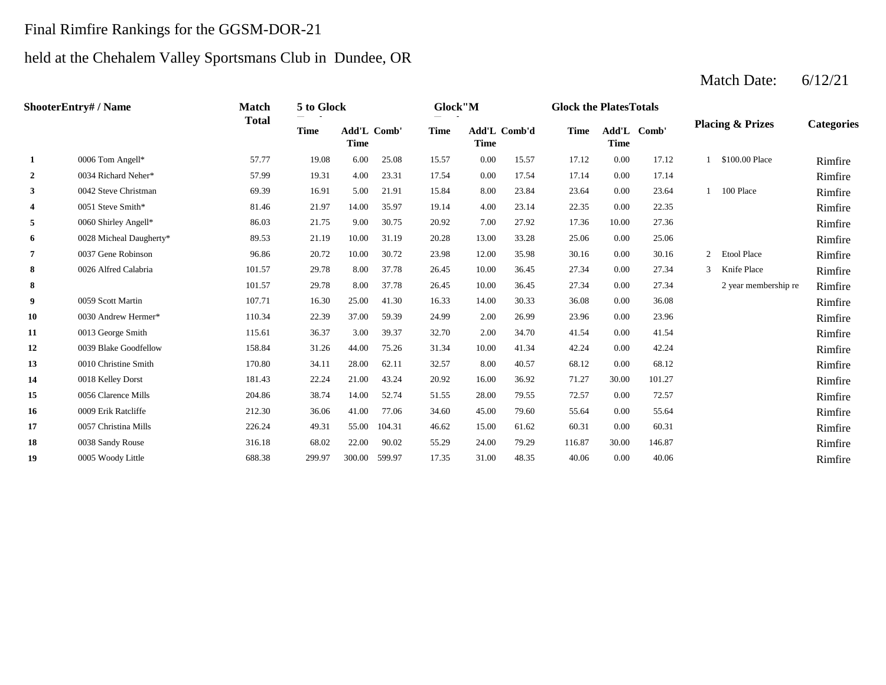#### Final Rimfire Rankings for the GGSM-DOR-21

#### held at the Chehalem Valley Sportsmans Club in Dundee, OR

#### **2** 0.00 17.14 0.00 17.14 0.00 17.14 0.00 17.14 0.00 17.14 0.00 17.14 **R**imfire **3** 8.00 23.64 8.00 23.64 8.00 23.84 8.60 23.64 1 100 Place Rimfire **4** 0051 Steve Smith\* 81.46 21.97 14.00 35.97 19.14 4.00 23.14 22.35 0.00 22.35 **Rimfire 5** 7.00 060 Shirley Angell\* **19.10 17.36** 86.03 21.75 9.00 30.75 20.92 7.00 27.92 17.36 10.00 27.36 10.00 **Rimfire 6** 13.00 0028 Micheal Daugherty\* **89.53** 21.19 10.00 31.19 20.28 13.00 33.28 25.06 0.00 25.06 **Rimfire 7** 10.00 0037 Gene Robinson 11 12.00 96.86 20.72 10.00 30.72 23.98 12.00 35.98 30.16 0.00 30.16 2 Etool Place Rimfire **8** 1026 Alfred Calabria 101.57 29.78 8.00 37.78 26.45 10.00 36.45 27.34 0.00 27.34 3 Knife Place 10.16 **8** 101.57 29.78 8.00 37.78 26.45 10.00 36.45 27.34 0.00 27.34 2 year membership re Rimfire **9** 1059 Scott Martin 1107.71 16.30 25.00 41.30 16.33 14.00 30.33 36.08 0.00 36.08 11.00 Rimfire **10** 23.96 0.00 23.96 **Rimfire** 22.39 37.00 59.39 24.99 2.00 26.99 23.96 0.00 23.96 23.96 11 2.00 2.00 39.37 3.00 39.37 32.70 3.00 34.70 41.54 0.00 41.54 2.00 39.37 **Rimfire** 12 0039 Blake Goodfellow 158.84 31.26 44.00 75.26 31.34 10.00 41.34 42.24 0.00 42.24 **Rimfire 13** 8.00 68.12 Rimfire 14 0018 Kelley Dorst 181.43 22.24 21.00 43.24 20.92 16.00 36.92 71.27 30.00 101.27 **Rimfire** 15 0056 Clarence Mills 204.86 38.74 14.00 52.74 51.55 28.00 79.55 72.57 0.00 72.57 Rimfire 16 0009 Erik Ratcliffe 212.30 36.06 41.00 77.06 34.60 45.00 79.60 55.64 0.00 55.64 **Rimfire** 17 0057 Christina Mills 226.24 49.31 55.00 104.31 46.62 15.00 61.62 60.31 0.00 60.31 **Rimfire 18** 20038 Sandy Rouse 216.18 316.18 316.18 316.18 32.00 32.00 35.29 34.00 39.29 116.87 30.00 146.87 30.00 146.87 **19** 31.00 40.06 0.00 40.06 Rimfire 30.00 146.87 0005 Woody Little 688.38 299.97 300.00 599.97 17.35 48.35 0.00 60.31 0038 Sandy Rouse 316.18 68.02 22.00 90.02 55.29 24.00 79.29 0.00 55.64 0057 Christina Mills 226.24 49.31 55.00 104.31 46.62 15.00 61.62 0.00 72.57 0009 Erik Ratcliffe 212.30 36.06 41.00 77.06 34.60 45.00 79.60 30.00 101.27 0056 Clarence Mills 204.86 38.74 14.00 52.74 51.55 28.00 79.55 0.00 68.12 0018 Kelley Dorst 181.43 22.24 21.00 43.24 20.92 16.00 36.92 0.00 42.24 0010 Christine Smith 170.80 34.11 28.00 62.11 32.57 8.00 40.57 0.00 41.54 0039 Blake Goodfellow 158.84 31.26 44.00 75.26 31.34 10.00 41.34 0.00 23.96 0013 George Smith 115.61 36.37 3.00 39.37 32.70 2.00 34.70 0.00 36.08 0030 Andrew Hermer\* 110.34 22.39 37.00 59.39 24.99 2.00 26.99 27.34 2 year membership re Rimfire 0059 Scott Martin 107.71 16.30 25.00 41.30 16.33 14.00 30.33 3 Knife Place 101.57 29.78 8.00 37.78 26.45 10.00 36.45 27.34 0.00 0026 Alfred Calabria **101.57** 29.78 8.00 37.78 26.45 10.00 36.45 27.34 0.00 27.34 23.98 12.00 35.98 30.16 0.00 30.16 2 Etool Place 20.28 33.28 0.00 25.06 0037 Gene Robinson 96.86 20.72 10.00 30.72 20.92 7.00 27.92 17.36 10.00 27.36 0028 Micheal Daugherty\* 89.53 21.19 10.00 31.19 19.14 4.00 23.14 22.35 0.00 22.35 0060 Shirley Angell\* 86.03 21.75 9.00 30.75 0.00 23.64 1 100 Place 0051 Steve Smith\* 81.46 21.97 14.00 35.97 0.00 17.14 0042 Steve Christman **69.39** 16.91 5.00 21.91 15.84 8.00 23.84 1 \$100.00 Place Rimfire 0034 Richard Neher\* 57.99 19.31 4.00 23.31 17.54 0.00 17.54 **1** 0006 Tom Angell\* 57.77 19.08 6.00 25.08 15.57 0.00 15.57 17.12 0.00 17.12 **Categories Time Add'L Time** Add'L Comb' **Time Add'L Comb'd Time Add'L Time Time** Add'L Comb' **ShooterEntry# / Name Match Total 5 to Glock Totals Glock"M Totals Glock the PlatesTotals Placing & Prizes**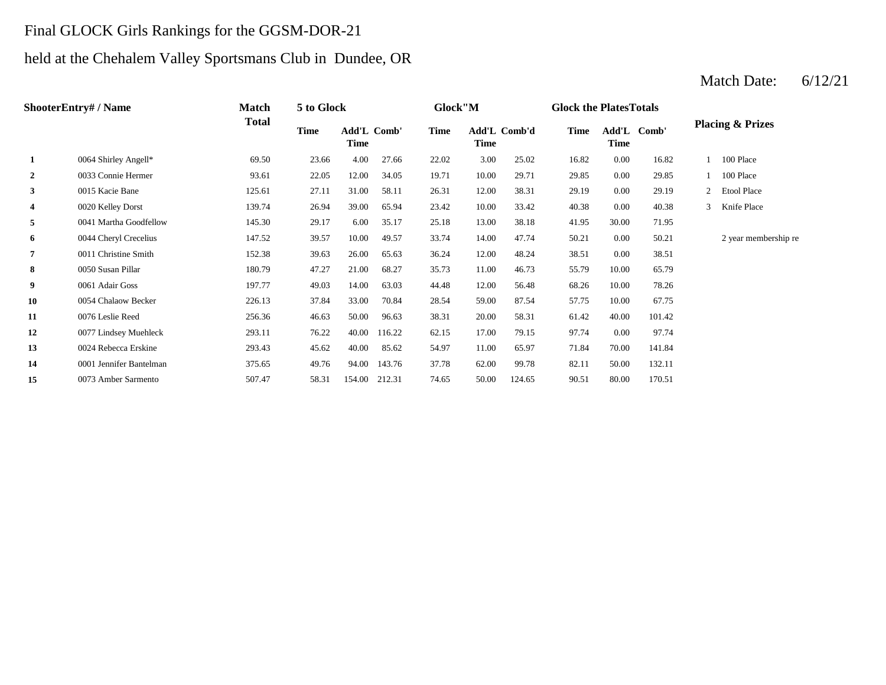# Final GLOCK Girls Rankings for the GGSM-DOR-21

# held at the Chehalem Valley Sportsmans Club in Dundee, OR

|                | <b>ShooterEntry#/Name</b> | <b>Match</b> | 5 to Glock |                     |        | Glock"M     |                      |        | <b>Glock the PlatesTotals</b> |       |             |   |                             |
|----------------|---------------------------|--------------|------------|---------------------|--------|-------------|----------------------|--------|-------------------------------|-------|-------------|---|-----------------------------|
|                |                           | <b>Total</b> | Time       | Add'L Comb'<br>Time |        | <b>Time</b> | Add'L Comb'd<br>Time |        | <b>Time</b>                   | Time  | Add'L Comb' |   | <b>Placing &amp; Prizes</b> |
| 1              | 0064 Shirley Angell*      | 69.50        | 23.66      | 4.00                | 27.66  | 22.02       | 3.00                 | 25.02  | 16.82                         | 0.00  | 16.82       |   | 100 Place                   |
| $\overline{2}$ | 0033 Connie Hermer        | 93.61        | 22.05      | 12.00               | 34.05  | 19.71       | 10.00                | 29.71  | 29.85                         | 0.00  | 29.85       |   | 100 Place                   |
| $\mathbf{3}$   | 0015 Kacie Bane           | 125.61       | 27.11      | 31.00               | 58.11  | 26.31       | 12.00                | 38.31  | 29.19                         | 0.00  | 29.19       |   | 2 Etool Place               |
| 4              | 0020 Kelley Dorst         | 139.74       | 26.94      | 39.00               | 65.94  | 23.42       | 10.00                | 33.42  | 40.38                         | 0.00  | 40.38       | 3 | Knife Place                 |
| 5              | 0041 Martha Goodfellow    | 145.30       | 29.17      | 6.00                | 35.17  | 25.18       | 13.00                | 38.18  | 41.95                         | 30.00 | 71.95       |   |                             |
| 6              | 0044 Cheryl Crecelius     | 147.52       | 39.57      | 10.00               | 49.57  | 33.74       | 14.00                | 47.74  | 50.21                         | 0.00  | 50.21       |   | 2 year membership re        |
| 7              | 0011 Christine Smith      | 152.38       | 39.63      | 26.00               | 65.63  | 36.24       | 12.00                | 48.24  | 38.51                         | 0.00  | 38.51       |   |                             |
| 8              | 0050 Susan Pillar         | 180.79       | 47.27      | 21.00               | 68.27  | 35.73       | 11.00                | 46.73  | 55.79                         | 10.00 | 65.79       |   |                             |
| 9              | 0061 Adair Goss           | 197.77       | 49.03      | 14.00               | 63.03  | 44.48       | 12.00                | 56.48  | 68.26                         | 10.00 | 78.26       |   |                             |
| 10             | 0054 Chalaow Becker       | 226.13       | 37.84      | 33.00               | 70.84  | 28.54       | 59.00                | 87.54  | 57.75                         | 10.00 | 67.75       |   |                             |
| 11             | 0076 Leslie Reed          | 256.36       | 46.63      | 50.00               | 96.63  | 38.31       | 20.00                | 58.31  | 61.42                         | 40.00 | 101.42      |   |                             |
| 12             | 0077 Lindsey Muehleck     | 293.11       | 76.22      | 40.00               | 116.22 | 62.15       | 17.00                | 79.15  | 97.74                         | 0.00  | 97.74       |   |                             |
| 13             | 0024 Rebecca Erskine      | 293.43       | 45.62      | 40.00               | 85.62  | 54.97       | 11.00                | 65.97  | 71.84                         | 70.00 | 141.84      |   |                             |
| 14             | 0001 Jennifer Bantelman   | 375.65       | 49.76      | 94.00               | 143.76 | 37.78       | 62.00                | 99.78  | 82.11                         | 50.00 | 132.11      |   |                             |
| 15             | 0073 Amber Sarmento       | 507.47       | 58.31      | 154.00              | 212.31 | 74.65       | 50.00                | 124.65 | 90.51                         | 80.00 | 170.51      |   |                             |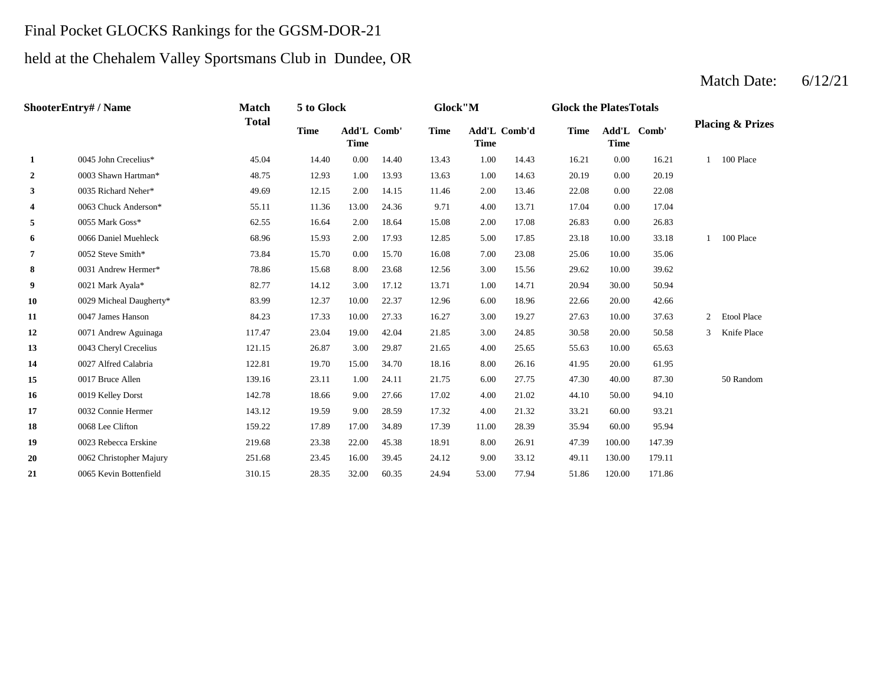# Final Pocket GLOCKS Rankings for the GGSM-DOR-21

# held at the Chehalem Valley Sportsmans Club in Dundee, OR

|                | <b>ShooterEntry#/Name</b> | <b>Match</b> | 5 to Glock  |                                   |       | Glock"M     |             |              | <b>Glock the Plates Totals</b> |                            |        |                |                             |
|----------------|---------------------------|--------------|-------------|-----------------------------------|-------|-------------|-------------|--------------|--------------------------------|----------------------------|--------|----------------|-----------------------------|
|                |                           | <b>Total</b> | <b>Time</b> | <b>Add'L Comb'</b><br><b>Time</b> |       | <b>Time</b> | <b>Time</b> | Add'L Comb'd | <b>Time</b>                    | Add'L Comb'<br><b>Time</b> |        |                | <b>Placing &amp; Prizes</b> |
| 1              | 0045 John Crecelius*      | 45.04        | 14.40       | 0.00                              | 14.40 | 13.43       | 1.00        | 14.43        | 16.21                          | 0.00                       | 16.21  | $\mathbf{1}$   | 100 Place                   |
| $\overline{2}$ | 0003 Shawn Hartman*       | 48.75        | 12.93       | 1.00                              | 13.93 | 13.63       | 1.00        | 14.63        | 20.19                          | 0.00                       | 20.19  |                |                             |
| 3              | 0035 Richard Neher*       | 49.69        | 12.15       | 2.00                              | 14.15 | 11.46       | 2.00        | 13.46        | 22.08                          | 0.00                       | 22.08  |                |                             |
| $\overline{4}$ | 0063 Chuck Anderson*      | 55.11        | 11.36       | 13.00                             | 24.36 | 9.71        | 4.00        | 13.71        | 17.04                          | 0.00                       | 17.04  |                |                             |
| 5              | 0055 Mark Goss*           | 62.55        | 16.64       | 2.00                              | 18.64 | 15.08       | 2.00        | 17.08        | 26.83                          | 0.00                       | 26.83  |                |                             |
| 6              | 0066 Daniel Muehleck      | 68.96        | 15.93       | 2.00                              | 17.93 | 12.85       | 5.00        | 17.85        | 23.18                          | 10.00                      | 33.18  |                | 100 Place                   |
| 7              | 0052 Steve Smith*         | 73.84        | 15.70       | 0.00                              | 15.70 | 16.08       | 7.00        | 23.08        | 25.06                          | 10.00                      | 35.06  |                |                             |
| 8              | 0031 Andrew Hermer*       | 78.86        | 15.68       | 8.00                              | 23.68 | 12.56       | 3.00        | 15.56        | 29.62                          | 10.00                      | 39.62  |                |                             |
| 9              | 0021 Mark Ayala*          | 82.77        | 14.12       | 3.00                              | 17.12 | 13.71       | 1.00        | 14.71        | 20.94                          | 30.00                      | 50.94  |                |                             |
| 10             | 0029 Micheal Daugherty*   | 83.99        | 12.37       | 10.00                             | 22.37 | 12.96       | 6.00        | 18.96        | 22.66                          | 20.00                      | 42.66  |                |                             |
| 11             | 0047 James Hanson         | 84.23        | 17.33       | 10.00                             | 27.33 | 16.27       | 3.00        | 19.27        | 27.63                          | 10.00                      | 37.63  | $\overline{2}$ | <b>Etool Place</b>          |
| 12             | 0071 Andrew Aguinaga      | 117.47       | 23.04       | 19.00                             | 42.04 | 21.85       | 3.00        | 24.85        | 30.58                          | 20.00                      | 50.58  | 3              | Knife Place                 |
| 13             | 0043 Cheryl Crecelius     | 121.15       | 26.87       | 3.00                              | 29.87 | 21.65       | 4.00        | 25.65        | 55.63                          | 10.00                      | 65.63  |                |                             |
| 14             | 0027 Alfred Calabria      | 122.81       | 19.70       | 15.00                             | 34.70 | 18.16       | 8.00        | 26.16        | 41.95                          | 20.00                      | 61.95  |                |                             |
| 15             | 0017 Bruce Allen          | 139.16       | 23.11       | 1.00                              | 24.11 | 21.75       | 6.00        | 27.75        | 47.30                          | 40.00                      | 87.30  |                | 50 Random                   |
| 16             | 0019 Kelley Dorst         | 142.78       | 18.66       | 9.00                              | 27.66 | 17.02       | 4.00        | 21.02        | 44.10                          | 50.00                      | 94.10  |                |                             |
| 17             | 0032 Connie Hermer        | 143.12       | 19.59       | 9.00                              | 28.59 | 17.32       | 4.00        | 21.32        | 33.21                          | 60.00                      | 93.21  |                |                             |
| 18             | 0068 Lee Clifton          | 159.22       | 17.89       | 17.00                             | 34.89 | 17.39       | 11.00       | 28.39        | 35.94                          | 60.00                      | 95.94  |                |                             |
| 19             | 0023 Rebecca Erskine      | 219.68       | 23.38       | 22.00                             | 45.38 | 18.91       | 8.00        | 26.91        | 47.39                          | 100.00                     | 147.39 |                |                             |
| 20             | 0062 Christopher Majury   | 251.68       | 23.45       | 16.00                             | 39.45 | 24.12       | 9.00        | 33.12        | 49.11                          | 130.00                     | 179.11 |                |                             |
| 21             | 0065 Kevin Bottenfield    | 310.15       | 28.35       | 32.00                             | 60.35 | 24.94       | 53.00       | 77.94        | 51.86                          | 120.00                     | 171.86 |                |                             |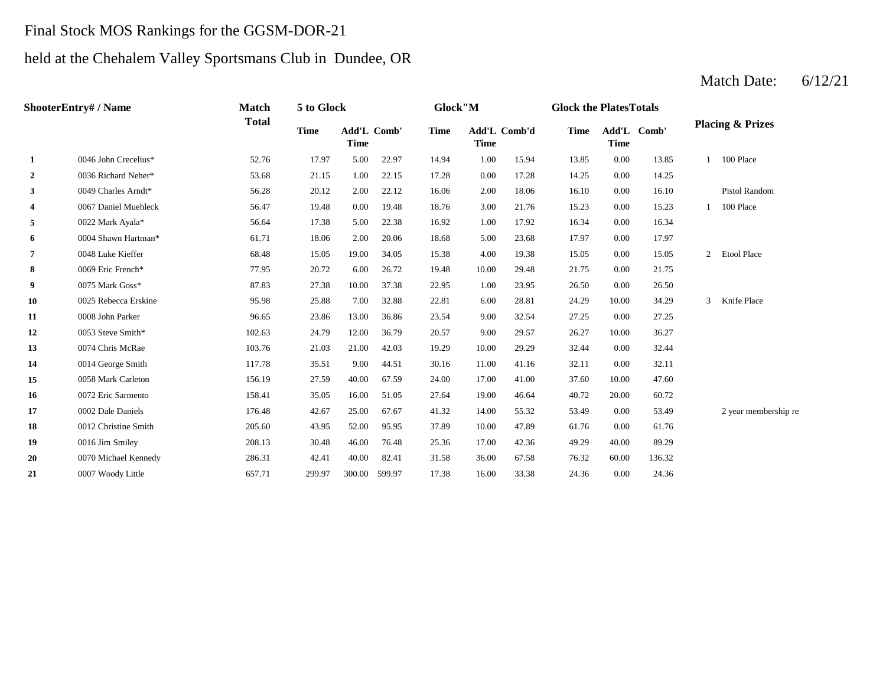# Final Stock MOS Rankings for the GGSM-DOR-21

# held at the Chehalem Valley Sportsmans Club in Dundee, OR

|                | <b>ShooterEntry#/Name</b> | <b>Match</b> | 5 to Glock  |                                   |       | Glock"M     |                             |       | <b>Glock the PlatesTotals</b> |                            |        |               |                             |
|----------------|---------------------------|--------------|-------------|-----------------------------------|-------|-------------|-----------------------------|-------|-------------------------------|----------------------------|--------|---------------|-----------------------------|
|                |                           | <b>Total</b> | <b>Time</b> | <b>Add'L Comb'</b><br><b>Time</b> |       | <b>Time</b> | Add'L Comb'd<br><b>Time</b> |       | Time                          | Add'L Comb'<br><b>Time</b> |        |               | <b>Placing &amp; Prizes</b> |
| 1              | 0046 John Crecelius*      | 52.76        | 17.97       | 5.00                              | 22.97 | 14.94       | 1.00                        | 15.94 | 13.85                         | 0.00                       | 13.85  |               | 1 100 Place                 |
| $\overline{2}$ | 0036 Richard Neher*       | 53.68        | 21.15       | 1.00                              | 22.15 | 17.28       | 0.00                        | 17.28 | 14.25                         | 0.00                       | 14.25  |               |                             |
| 3              | 0049 Charles Arndt*       | 56.28        | 20.12       | 2.00                              | 22.12 | 16.06       | 2.00                        | 18.06 | 16.10                         | 0.00                       | 16.10  |               | Pistol Random               |
| 4              | 0067 Daniel Muehleck      | 56.47        | 19.48       | 0.00                              | 19.48 | 18.76       | 3.00                        | 21.76 | 15.23                         | 0.00                       | 15.23  |               | 100 Place                   |
| 5              | 0022 Mark Ayala*          | 56.64        | 17.38       | 5.00                              | 22.38 | 16.92       | 1.00                        | 17.92 | 16.34                         | 0.00                       | 16.34  |               |                             |
| 6              | 0004 Shawn Hartman*       | 61.71        | 18.06       | 2.00                              | 20.06 | 18.68       | 5.00                        | 23.68 | 17.97                         | 0.00                       | 17.97  |               |                             |
| $\overline{7}$ | 0048 Luke Kieffer         | 68.48        | 15.05       | 19.00                             | 34.05 | 15.38       | 4.00                        | 19.38 | 15.05                         | 0.00                       | 15.05  |               | 2 Etool Place               |
| 8              | 0069 Eric French*         | 77.95        | 20.72       | 6.00                              | 26.72 | 19.48       | 10.00                       | 29.48 | 21.75                         | 0.00                       | 21.75  |               |                             |
| 9              | 0075 Mark Goss*           | 87.83        | 27.38       | 10.00                             | 37.38 | 22.95       | 1.00                        | 23.95 | 26.50                         | 0.00                       | 26.50  |               |                             |
| 10             | 0025 Rebecca Erskine      | 95.98        | 25.88       | 7.00                              | 32.88 | 22.81       | 6.00                        | 28.81 | 24.29                         | 10.00                      | 34.29  | $\mathcal{E}$ | Knife Place                 |
| 11             | 0008 John Parker          | 96.65        | 23.86       | 13.00                             | 36.86 | 23.54       | 9.00                        | 32.54 | 27.25                         | 0.00                       | 27.25  |               |                             |
| 12             | 0053 Steve Smith*         | 102.63       | 24.79       | 12.00                             | 36.79 | 20.57       | 9.00                        | 29.57 | 26.27                         | 10.00                      | 36.27  |               |                             |
| 13             | 0074 Chris McRae          | 103.76       | 21.03       | 21.00                             | 42.03 | 19.29       | 10.00                       | 29.29 | 32.44                         | 0.00                       | 32.44  |               |                             |
| 14             | 0014 George Smith         | 117.78       | 35.51       | 9.00                              | 44.51 | 30.16       | 11.00                       | 41.16 | 32.11                         | 0.00                       | 32.11  |               |                             |
| 15             | 0058 Mark Carleton        | 156.19       | 27.59       | 40.00                             | 67.59 | 24.00       | 17.00                       | 41.00 | 37.60                         | 10.00                      | 47.60  |               |                             |
| 16             | 0072 Eric Sarmento        | 158.41       | 35.05       | 16.00                             | 51.05 | 27.64       | 19.00                       | 46.64 | 40.72                         | 20.00                      | 60.72  |               |                             |
| 17             | 0002 Dale Daniels         | 176.48       | 42.67       | 25.00                             | 67.67 | 41.32       | 14.00                       | 55.32 | 53.49                         | 0.00                       | 53.49  |               | 2 year membership re        |
| 18             | 0012 Christine Smith      | 205.60       | 43.95       | 52.00                             | 95.95 | 37.89       | 10.00                       | 47.89 | 61.76                         | 0.00                       | 61.76  |               |                             |
| 19             | 0016 Jim Smiley           | 208.13       | 30.48       | 46.00                             | 76.48 | 25.36       | 17.00                       | 42.36 | 49.29                         | 40.00                      | 89.29  |               |                             |
| 20             | 0070 Michael Kennedy      | 286.31       | 42.41       | 40.00                             | 82.41 | 31.58       | 36.00                       | 67.58 | 76.32                         | 60.00                      | 136.32 |               |                             |
| 21             | 0007 Woody Little         | 657.71       | 299.97      | 300.00 599.97                     |       | 17.38       | 16.00                       | 33.38 | 24.36                         | 0.00                       | 24.36  |               |                             |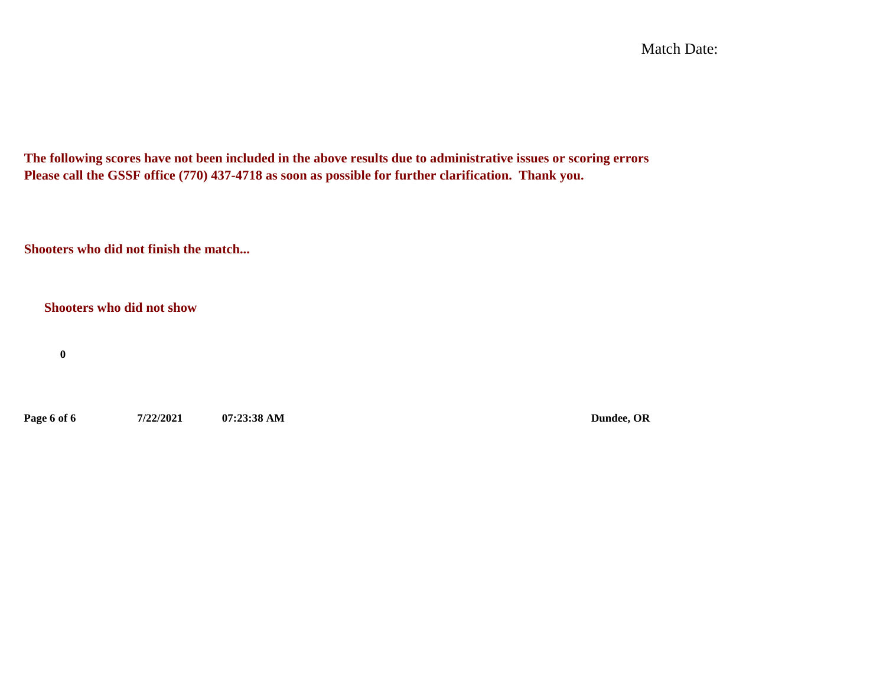Match Date:

**The following scores have not been included in the above results due to administrative issues or scoring errors Please call the GSSF office (770) 437-4718 as soon as possible for further clarification. Thank you.**

**Shooters who did not finish the match...**

**Shooters who did not show**

**0**

**Page 6 of 6 7/22/2021 07:23:38 AM Dundee, OR**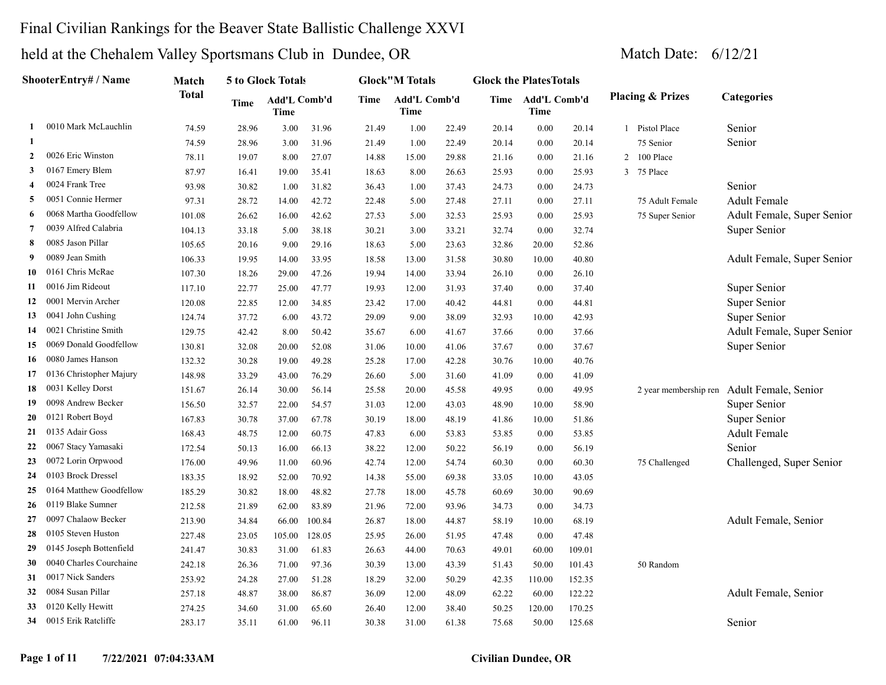## Final Civilian Rankings for the Beaver State Ballistic Challenge XXVI

|              | <b>ShooterEntry# / Name</b> | Match        |       | 5 to Glock Totals           |        |       | <b>Glock</b> "M Totals |       | <b>Glock the PlatesTotals</b> |                           |        |                             |                            |
|--------------|-----------------------------|--------------|-------|-----------------------------|--------|-------|------------------------|-------|-------------------------------|---------------------------|--------|-----------------------------|----------------------------|
|              |                             | <b>Total</b> | Time  | Add'L Comb'd<br><b>Time</b> |        | Time  | Add'L Comb'd<br>Time   |       |                               | Time Add'L Comb'd<br>Time |        | <b>Placing &amp; Prizes</b> | Categories                 |
| 1            | 0010 Mark McLauchlin        | 74.59        | 28.96 | 3.00                        | 31.96  | 21.49 | 1.00                   | 22.49 | 20.14                         | 0.00                      | 20.14  | 1 Pistol Place              | Senior                     |
| -1           |                             | 74.59        | 28.96 | 3.00                        | 31.96  | 21.49 | 1.00                   | 22.49 | 20.14                         | 0.00                      | 20.14  | 75 Senior                   | Senior                     |
| $\mathbf{2}$ | 0026 Eric Winston           | 78.11        | 19.07 | 8.00                        | 27.07  | 14.88 | 15.00                  | 29.88 | 21.16                         | 0.00                      | 21.16  | 2 100 Place                 |                            |
| 3            | 0167 Emery Blem             | 87.97        | 16.41 | 19.00                       | 35.41  | 18.63 | 8.00                   | 26.63 | 25.93                         | 0.00                      | 25.93  | 3 75 Place                  |                            |
| 4            | 0024 Frank Tree             | 93.98        | 30.82 | 1.00                        | 31.82  | 36.43 | 1.00                   | 37.43 | 24.73                         | 0.00                      | 24.73  |                             | Senior                     |
| 5            | 0051 Connie Hermer          | 97.31        | 28.72 | 14.00                       | 42.72  | 22.48 | 5.00                   | 27.48 | 27.11                         | 0.00                      | 27.11  | 75 Adult Female             | <b>Adult Female</b>        |
| 6            | 0068 Martha Goodfellow      | 101.08       | 26.62 | 16.00                       | 42.62  | 27.53 | 5.00                   | 32.53 | 25.93                         | 0.00                      | 25.93  | 75 Super Senior             | Adult Female, Super Senior |
| 7            | 0039 Alfred Calabria        | 104.13       | 33.18 | 5.00                        | 38.18  | 30.21 | 3.00                   | 33.21 | 32.74                         | 0.00                      | 32.74  |                             | Super Senior               |
| 8            | 0085 Jason Pillar           | 105.65       | 20.16 | 9.00                        | 29.16  | 18.63 | 5.00                   | 23.63 | 32.86                         | 20.00                     | 52.86  |                             |                            |
| 9            | 0089 Jean Smith             | 106.33       | 19.95 | 14.00                       | 33.95  | 18.58 | 13.00                  | 31.58 | 30.80                         | 10.00                     | 40.80  |                             | Adult Female, Super Senior |
| 10           | 0161 Chris McRae            | 107.30       | 18.26 | 29.00                       | 47.26  | 19.94 | 14.00                  | 33.94 | 26.10                         | 0.00                      | 26.10  |                             |                            |
| 11           | 0016 Jim Rideout            | 117.10       | 22.77 | 25.00                       | 47.77  | 19.93 | 12.00                  | 31.93 | 37.40                         | 0.00                      | 37.40  |                             | Super Senior               |
| 12           | 0001 Mervin Archer          | 120.08       | 22.85 | 12.00                       | 34.85  | 23.42 | 17.00                  | 40.42 | 44.81                         | 0.00                      | 44.81  |                             | Super Senior               |
| 13           | 0041 John Cushing           | 124.74       | 37.72 | 6.00                        | 43.72  | 29.09 | 9.00                   | 38.09 | 32.93                         | 10.00                     | 42.93  |                             | Super Senior               |
| 14           | 0021 Christine Smith        | 129.75       | 42.42 | 8.00                        | 50.42  | 35.67 | 6.00                   | 41.67 | 37.66                         | 0.00                      | 37.66  |                             | Adult Female, Super Senior |
| 15           | 0069 Donald Goodfellow      | 130.81       | 32.08 | 20.00                       | 52.08  | 31.06 | 10.00                  | 41.06 | 37.67                         | 0.00                      | 37.67  |                             | Super Senior               |
| 16           | 0080 James Hanson           | 132.32       | 30.28 | 19.00                       | 49.28  | 25.28 | 17.00                  | 42.28 | 30.76                         | 10.00                     | 40.76  |                             |                            |
| 17           | 0136 Christopher Majury     | 148.98       | 33.29 | 43.00                       | 76.29  | 26.60 | 5.00                   | 31.60 | 41.09                         | 0.00                      | 41.09  |                             |                            |
| 18           | 0031 Kelley Dorst           | 151.67       | 26.14 | 30.00                       | 56.14  | 25.58 | 20.00                  | 45.58 | 49.95                         | 0.00                      | 49.95  | 2 year membership ren       | Adult Female, Senior       |
| 19           | 0098 Andrew Becker          | 156.50       | 32.57 | 22.00                       | 54.57  | 31.03 | 12.00                  | 43.03 | 48.90                         | 10.00                     | 58.90  |                             | Super Senior               |
| 20           | 0121 Robert Boyd            | 167.83       | 30.78 | 37.00                       | 67.78  | 30.19 | 18.00                  | 48.19 | 41.86                         | 10.00                     | 51.86  |                             | Super Senior               |
| 21           | 0135 Adair Goss             | 168.43       | 48.75 | 12.00                       | 60.75  | 47.83 | 6.00                   | 53.83 | 53.85                         | 0.00                      | 53.85  |                             | <b>Adult Female</b>        |
| 22           | 0067 Stacy Yamasaki         | 172.54       | 50.13 | 16.00                       | 66.13  | 38.22 | 12.00                  | 50.22 | 56.19                         | 0.00                      | 56.19  |                             | Senior                     |
| 23           | 0072 Lorin Orpwood          | 176.00       | 49.96 | 11.00                       | 60.96  | 42.74 | 12.00                  | 54.74 | 60.30                         | 0.00                      | 60.30  | 75 Challenged               | Challenged, Super Senior   |
| 24           | 0103 Brock Dressel          | 183.35       | 18.92 | 52.00                       | 70.92  | 14.38 | 55.00                  | 69.38 | 33.05                         | 10.00                     | 43.05  |                             |                            |
| 25           | 0164 Matthew Goodfellow     | 185.29       | 30.82 | 18.00                       | 48.82  | 27.78 | 18.00                  | 45.78 | 60.69                         | 30.00                     | 90.69  |                             |                            |
| 26           | 0119 Blake Sumner           | 212.58       | 21.89 | 62.00                       | 83.89  | 21.96 | 72.00                  | 93.96 | 34.73                         | 0.00                      | 34.73  |                             |                            |
| 27           | 0097 Chalaow Becker         | 213.90       | 34.84 | 66.00                       | 100.84 | 26.87 | 18.00                  | 44.87 | 58.19                         | 10.00                     | 68.19  |                             | Adult Female, Senior       |
| 28           | 0105 Steven Huston          | 227.48       | 23.05 | 105.00                      | 128.05 | 25.95 | 26.00                  | 51.95 | 47.48                         | 0.00                      | 47.48  |                             |                            |
| 29           | 0145 Joseph Bottenfield     | 241.47       | 30.83 | 31.00                       | 61.83  | 26.63 | 44.00                  | 70.63 | 49.01                         | 60.00                     | 109.01 |                             |                            |
| 30           | 0040 Charles Courchaine     | 242.18       | 26.36 | 71.00                       | 97.36  | 30.39 | 13.00                  | 43.39 | 51.43                         | 50.00                     | 101.43 | 50 Random                   |                            |
| 31           | 0017 Nick Sanders           | 253.92       | 24.28 | 27.00                       | 51.28  | 18.29 | 32.00                  | 50.29 | 42.35                         | 110.00                    | 152.35 |                             |                            |
| 32           | 0084 Susan Pillar           | 257.18       | 48.87 | 38.00                       | 86.87  | 36.09 | 12.00                  | 48.09 | 62.22                         | 60.00                     | 122.22 |                             | Adult Female, Senior       |
| 33           | 0120 Kelly Hewitt           | 274.25       | 34.60 | 31.00                       | 65.60  | 26.40 | 12.00                  | 38.40 | 50.25                         | 120.00                    | 170.25 |                             |                            |
| 34           | 0015 Erik Ratcliffe         | 283.17       | 35.11 | 61.00                       | 96.11  | 30.38 | 31.00                  | 61.38 | 75.68                         | 50.00                     | 125.68 |                             | Senior                     |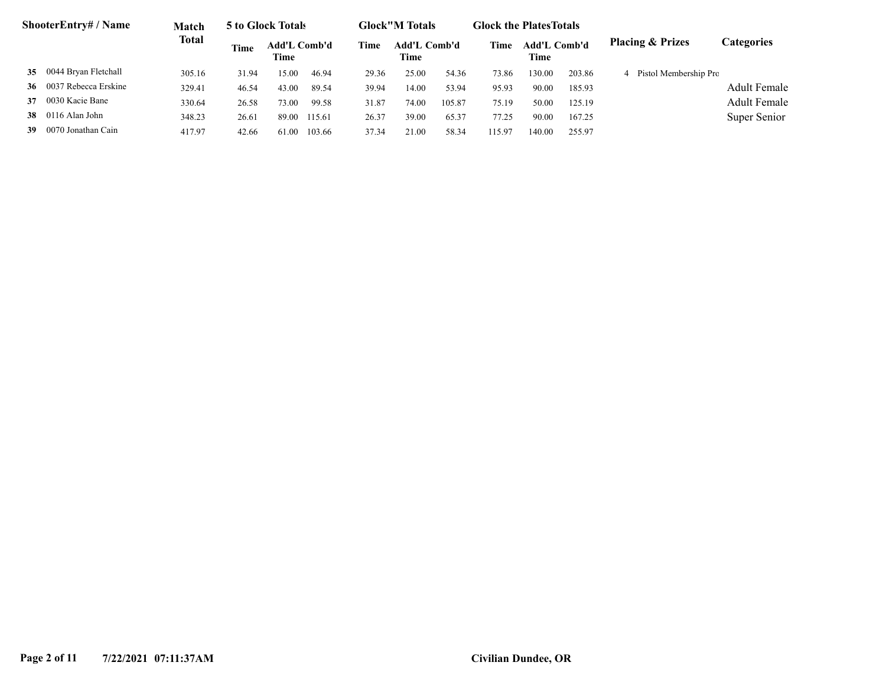|    | ShooterEntry# / Name     | Match  |       | 5 to Glock Totals    |        |       | <b>Glock</b> "M Totals |        | <b>Glock the Plates Totals</b> |                             |        |                             |                     |
|----|--------------------------|--------|-------|----------------------|--------|-------|------------------------|--------|--------------------------------|-----------------------------|--------|-----------------------------|---------------------|
|    |                          | Total  | Time  | Add'L Comb'd<br>Time |        | Time  | Add'L Comb'd<br>Time   |        | Time                           | <b>Add'L Comb'd</b><br>Time |        | <b>Placing &amp; Prizes</b> | Categories          |
|    | 35 0044 Bryan Fletchall  | 305.16 | 31.94 | 15.00                | 46.94  | 29.36 | 25.00                  | 54.36  | 73.86                          | 130.00                      | 203.86 | 4 Pistol Membership Pro     |                     |
|    | 36 0037 Rebecca Erskine  | 329.41 | 46.54 | 43.00                | 89.54  | 39.94 | 14.00                  | 53.94  | 95.93                          | 90.00                       | 185.93 |                             | <b>Adult Female</b> |
|    | 37 0030 Kacie Bane       | 330.64 | 26.58 | 73.00                | 99.58  | 31.87 | 74.00                  | 105.87 | 75.19                          | 50.00                       | 125.19 |                             | <b>Adult Female</b> |
|    | <b>38</b> 0116 Alan John | 348.23 | 26.61 | 89.00                | 115.61 | 26.37 | 39.00                  | 65.37  | 77.25                          | 90.00                       | 167.25 |                             | Super Senior        |
| 39 | 0070 Jonathan Cain       | 417.97 | 42.66 | 61.00                | 103.66 | 37.34 | 21.00                  | 58.34  | 115.97                         | 140.00                      | 255.97 |                             |                     |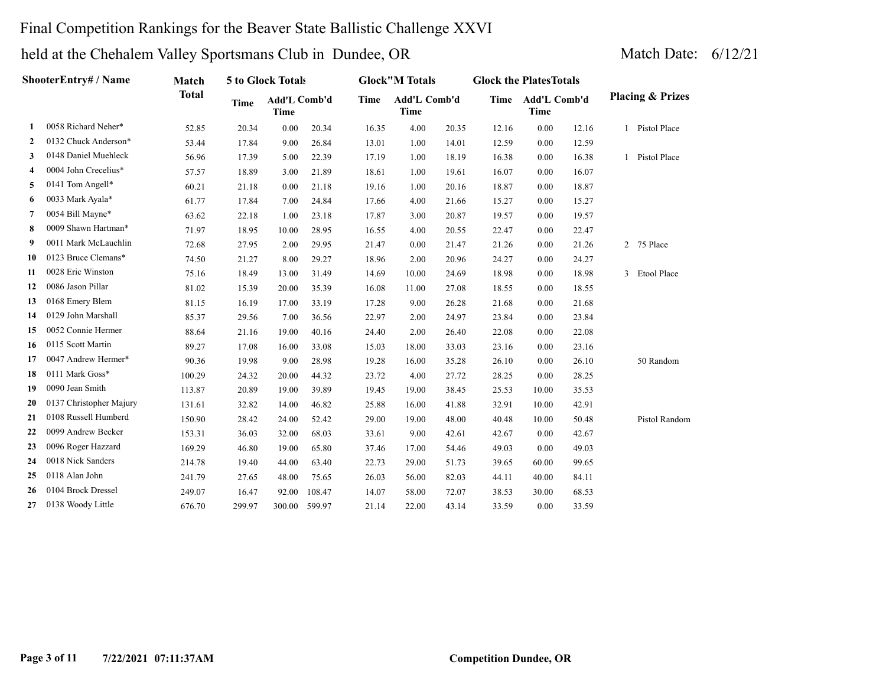## Final Competition Rankings for the Beaver State Ballistic Challenge XXVI

|              | ShooterEntry# / Name    | Match        |        | 5 to Glock Totals    |        |       | <b>Glock</b> "M Totals      |       | <b>Glock the Plates Totals</b> |                             |       |              |                             |
|--------------|-------------------------|--------------|--------|----------------------|--------|-------|-----------------------------|-------|--------------------------------|-----------------------------|-------|--------------|-----------------------------|
|              |                         | <b>Total</b> | Time   | Add'L Comb'd<br>Time |        | Time  | Add'L Comb'd<br><b>Time</b> |       | Time                           | Add'L Comb'd<br><b>Time</b> |       |              | <b>Placing &amp; Prizes</b> |
| 1.           | 0058 Richard Neher*     | 52.85        | 20.34  | 0.00                 | 20.34  | 16.35 | 4.00                        | 20.35 | 12.16                          | 0.00                        | 12.16 |              | 1 Pistol Place              |
| $\mathbf{2}$ | 0132 Chuck Anderson*    | 53.44        | 17.84  | 9.00                 | 26.84  | 13.01 | 1.00                        | 14.01 | 12.59                          | 0.00                        | 12.59 |              |                             |
| 3            | 0148 Daniel Muehleck    | 56.96        | 17.39  | 5.00                 | 22.39  | 17.19 | 1.00                        | 18.19 | 16.38                          | 0.00                        | 16.38 | $\mathbf{1}$ | Pistol Place                |
| 4            | 0004 John Crecelius*    | 57.57        | 18.89  | 3.00                 | 21.89  | 18.61 | 1.00                        | 19.61 | 16.07                          | 0.00                        | 16.07 |              |                             |
| 5            | 0141 Tom Angell*        | 60.21        | 21.18  | 0.00                 | 21.18  | 19.16 | 1.00                        | 20.16 | 18.87                          | 0.00                        | 18.87 |              |                             |
| 6            | 0033 Mark Ayala*        | 61.77        | 17.84  | 7.00                 | 24.84  | 17.66 | 4.00                        | 21.66 | 15.27                          | 0.00                        | 15.27 |              |                             |
| 7            | 0054 Bill Mayne*        | 63.62        | 22.18  | 1.00                 | 23.18  | 17.87 | 3.00                        | 20.87 | 19.57                          | 0.00                        | 19.57 |              |                             |
| 8            | 0009 Shawn Hartman*     | 71.97        | 18.95  | 10.00                | 28.95  | 16.55 | 4.00                        | 20.55 | 22.47                          | 0.00                        | 22.47 |              |                             |
| 9            | 0011 Mark McLauchlin    | 72.68        | 27.95  | 2.00                 | 29.95  | 21.47 | 0.00                        | 21.47 | 21.26                          | 0.00                        | 21.26 |              | 2 75 Place                  |
| 10           | 0123 Bruce Clemans*     | 74.50        | 21.27  | 8.00                 | 29.27  | 18.96 | 2.00                        | 20.96 | 24.27                          | 0.00                        | 24.27 |              |                             |
| 11           | 0028 Eric Winston       | 75.16        | 18.49  | 13.00                | 31.49  | 14.69 | 10.00                       | 24.69 | 18.98                          | 0.00                        | 18.98 | $\mathbf{3}$ | Etool Place                 |
| 12           | 0086 Jason Pillar       | 81.02        | 15.39  | 20.00                | 35.39  | 16.08 | 11.00                       | 27.08 | 18.55                          | 0.00                        | 18.55 |              |                             |
| 13           | 0168 Emery Blem         | 81.15        | 16.19  | 17.00                | 33.19  | 17.28 | 9.00                        | 26.28 | 21.68                          | 0.00                        | 21.68 |              |                             |
| 14           | 0129 John Marshall      | 85.37        | 29.56  | 7.00                 | 36.56  | 22.97 | 2.00                        | 24.97 | 23.84                          | 0.00                        | 23.84 |              |                             |
| 15           | 0052 Connie Hermer      | 88.64        | 21.16  | 19.00                | 40.16  | 24.40 | 2.00                        | 26.40 | 22.08                          | 0.00                        | 22.08 |              |                             |
| 16           | 0115 Scott Martin       | 89.27        | 17.08  | 16.00                | 33.08  | 15.03 | 18.00                       | 33.03 | 23.16                          | 0.00                        | 23.16 |              |                             |
| 17           | 0047 Andrew Hermer*     | 90.36        | 19.98  | 9.00                 | 28.98  | 19.28 | 16.00                       | 35.28 | 26.10                          | 0.00                        | 26.10 |              | 50 Random                   |
| 18           | 0111 Mark Goss*         | 100.29       | 24.32  | 20.00                | 44.32  | 23.72 | 4.00                        | 27.72 | 28.25                          | 0.00                        | 28.25 |              |                             |
| 19           | 0090 Jean Smith         | 113.87       | 20.89  | 19.00                | 39.89  | 19.45 | 19.00                       | 38.45 | 25.53                          | 10.00                       | 35.53 |              |                             |
| 20           | 0137 Christopher Majury | 131.61       | 32.82  | 14.00                | 46.82  | 25.88 | 16.00                       | 41.88 | 32.91                          | 10.00                       | 42.91 |              |                             |
| 21           | 0108 Russell Humberd    | 150.90       | 28.42  | 24.00                | 52.42  | 29.00 | 19.00                       | 48.00 | 40.48                          | 10.00                       | 50.48 |              | Pistol Random               |
| 22           | 0099 Andrew Becker      | 153.31       | 36.03  | 32.00                | 68.03  | 33.61 | 9.00                        | 42.61 | 42.67                          | 0.00                        | 42.67 |              |                             |
| 23           | 0096 Roger Hazzard      | 169.29       | 46.80  | 19.00                | 65.80  | 37.46 | 17.00                       | 54.46 | 49.03                          | 0.00                        | 49.03 |              |                             |
| 24           | 0018 Nick Sanders       | 214.78       | 19.40  | 44.00                | 63.40  | 22.73 | 29.00                       | 51.73 | 39.65                          | 60.00                       | 99.65 |              |                             |
| 25           | 0118 Alan John          | 241.79       | 27.65  | 48.00                | 75.65  | 26.03 | 56.00                       | 82.03 | 44.11                          | 40.00                       | 84.11 |              |                             |
| 26           | 0104 Brock Dressel      | 249.07       | 16.47  | 92.00                | 108.47 | 14.07 | 58.00                       | 72.07 | 38.53                          | 30.00                       | 68.53 |              |                             |
| 27           | 0138 Woody Little       | 676.70       | 299.97 | 300.00               | 599.97 | 21.14 | 22.00                       | 43.14 | 33.59                          | 0.00                        | 33.59 |              |                             |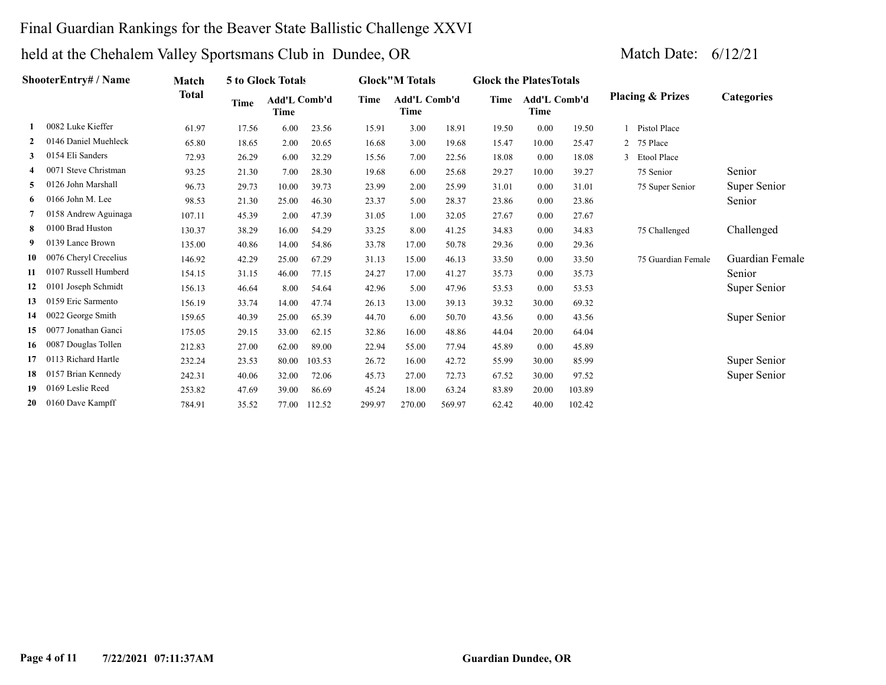## Final Guardian Rankings for the Beaver State Ballistic Challenge XXVI

|    | ShooterEntry# / Name  | Match        |       | 5 to Glock Totals           |        |        | <b>Glock</b> "M Totals |        | <b>Glock the Plates Totals</b> |                             |        |   |                             |                   |
|----|-----------------------|--------------|-------|-----------------------------|--------|--------|------------------------|--------|--------------------------------|-----------------------------|--------|---|-----------------------------|-------------------|
|    |                       | <b>Total</b> | Time  | Add'L Comb'd<br><b>Time</b> |        | Time   | Add'L Comb'd<br>Time   |        | Time                           | <b>Add'L Comb'd</b><br>Time |        |   | <b>Placing &amp; Prizes</b> | <b>Categories</b> |
|    | 0082 Luke Kieffer     | 61.97        | 17.56 | 6.00                        | 23.56  | 15.91  | 3.00                   | 18.91  | 19.50                          | 0.00                        | 19.50  |   | Pistol Place                |                   |
| 2  | 0146 Daniel Muehleck  | 65.80        | 18.65 | 2.00                        | 20.65  | 16.68  | 3.00                   | 19.68  | 15.47                          | 10.00                       | 25.47  |   | 75 Place                    |                   |
| 3  | 0154 Eli Sanders      | 72.93        | 26.29 | 6.00                        | 32.29  | 15.56  | 7.00                   | 22.56  | 18.08                          | 0.00                        | 18.08  | 3 | <b>Etool Place</b>          |                   |
|    | 0071 Steve Christman  | 93.25        | 21.30 | 7.00                        | 28.30  | 19.68  | 6.00                   | 25.68  | 29.27                          | 10.00                       | 39.27  |   | 75 Senior                   | Senior            |
| 5. | 0126 John Marshall    | 96.73        | 29.73 | 10.00                       | 39.73  | 23.99  | 2.00                   | 25.99  | 31.01                          | 0.00                        | 31.01  |   | 75 Super Senior             | Super Senior      |
| 6  | $0166$ John M. Lee    | 98.53        | 21.30 | 25.00                       | 46.30  | 23.37  | 5.00                   | 28.37  | 23.86                          | 0.00                        | 23.86  |   |                             | Senior            |
|    | 0158 Andrew Aguinaga  | 107.11       | 45.39 | 2.00                        | 47.39  | 31.05  | 1.00                   | 32.05  | 27.67                          | 0.00                        | 27.67  |   |                             |                   |
| 8  | 0100 Brad Huston      | 130.37       | 38.29 | 16.00                       | 54.29  | 33.25  | 8.00                   | 41.25  | 34.83                          | 0.00                        | 34.83  |   | 75 Challenged               | Challenged        |
| 9  | 0139 Lance Brown      | 135.00       | 40.86 | 14.00                       | 54.86  | 33.78  | 17.00                  | 50.78  | 29.36                          | 0.00                        | 29.36  |   |                             |                   |
| 10 | 0076 Cheryl Crecelius | 146.92       | 42.29 | 25.00                       | 67.29  | 31.13  | 15.00                  | 46.13  | 33.50                          | 0.00                        | 33.50  |   | 75 Guardian Female          | Guardian Female   |
| 11 | 0107 Russell Humberd  | 154.15       | 31.15 | 46.00                       | 77.15  | 24.27  | 17.00                  | 41.27  | 35.73                          | 0.00                        | 35.73  |   |                             | Senior            |
| 12 | 0101 Joseph Schmidt   | 156.13       | 46.64 | 8.00                        | 54.64  | 42.96  | 5.00                   | 47.96  | 53.53                          | 0.00                        | 53.53  |   |                             | Super Senior      |
| 13 | 0159 Eric Sarmento    | 156.19       | 33.74 | 14.00                       | 47.74  | 26.13  | 13.00                  | 39.13  | 39.32                          | 30.00                       | 69.32  |   |                             |                   |
| 14 | 0022 George Smith     | 159.65       | 40.39 | 25.00                       | 65.39  | 44.70  | 6.00                   | 50.70  | 43.56                          | 0.00                        | 43.56  |   |                             | Super Senior      |
| 15 | 0077 Jonathan Ganci   | 175.05       | 29.15 | 33.00                       | 62.15  | 32.86  | 16.00                  | 48.86  | 44.04                          | 20.00                       | 64.04  |   |                             |                   |
| 16 | 0087 Douglas Tollen   | 212.83       | 27.00 | 62.00                       | 89.00  | 22.94  | 55.00                  | 77.94  | 45.89                          | 0.00                        | 45.89  |   |                             |                   |
| 17 | 0113 Richard Hartle   | 232.24       | 23.53 | 80.00                       | 103.53 | 26.72  | 16.00                  | 42.72  | 55.99                          | 30.00                       | 85.99  |   |                             | Super Senior      |
| 18 | 0157 Brian Kennedy    | 242.31       | 40.06 | 32.00                       | 72.06  | 45.73  | 27.00                  | 72.73  | 67.52                          | 30.00                       | 97.52  |   |                             | Super Senior      |
| 19 | 0169 Leslie Reed      | 253.82       | 47.69 | 39.00                       | 86.69  | 45.24  | 18.00                  | 63.24  | 83.89                          | 20.00                       | 103.89 |   |                             |                   |
| 20 | 0160 Dave Kampff      | 784.91       | 35.52 | 77.00                       | 112.52 | 299.97 | 270.00                 | 569.97 | 62.42                          | 40.00                       | 102.42 |   |                             |                   |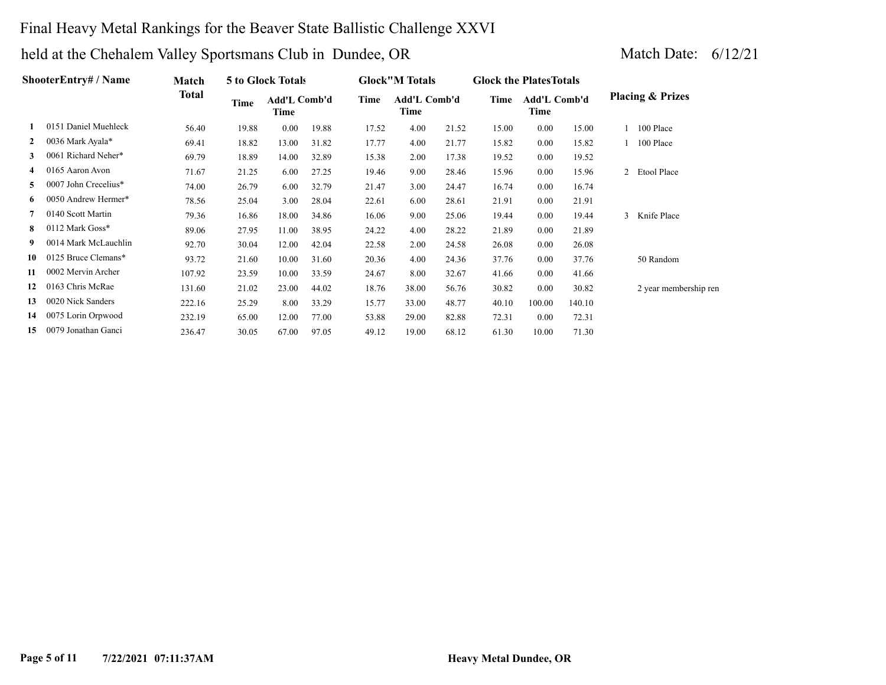## Final Heavy Metal Rankings for the Beaver State Ballistic Challenge XXVI

| <b>ShooterEntry# / Name</b> | Match                |        | 5 to Glock Totals |                      |       | <b>Glock</b> "M Totals |                             | <b>Glock the Plates Totals</b> |       |                             |        |               |                             |
|-----------------------------|----------------------|--------|-------------------|----------------------|-------|------------------------|-----------------------------|--------------------------------|-------|-----------------------------|--------|---------------|-----------------------------|
|                             |                      | Total  | <b>Time</b>       | Add'L Comb'd<br>Time |       | Time                   | <b>Add'L Comb'd</b><br>Time |                                | Time  | <b>Add'L Comb'd</b><br>Time |        |               | <b>Placing &amp; Prizes</b> |
|                             | 0151 Daniel Muehleck | 56.40  | 19.88             | 0.00                 | 19.88 | 17.52                  | 4.00                        | 21.52                          | 15.00 | 0.00                        | 15.00  |               | 1 100 Place                 |
| $\mathbf{2}$                | 0036 Mark Ayala*     | 69.41  | 18.82             | 13.00                | 31.82 | 17.77                  | 4.00                        | 21.77                          | 15.82 | 0.00                        | 15.82  |               | 1 100 Place                 |
| 3                           | 0061 Richard Neher*  | 69.79  | 18.89             | 14.00                | 32.89 | 15.38                  | 2.00                        | 17.38                          | 19.52 | 0.00                        | 19.52  |               |                             |
| $\overline{4}$              | 0165 Aaron Avon      | 71.67  | 21.25             | 6.00                 | 27.25 | 19.46                  | 9.00                        | 28.46                          | 15.96 | 0.00                        | 15.96  |               | 2 Etool Place               |
| 5.                          | 0007 John Crecelius* | 74.00  | 26.79             | 6.00                 | 32.79 | 21.47                  | 3.00                        | 24.47                          | 16.74 | 0.00                        | 16.74  |               |                             |
| 6                           | 0050 Andrew Hermer*  | 78.56  | 25.04             | 3.00                 | 28.04 | 22.61                  | 6.00                        | 28.61                          | 21.91 | 0.00                        | 21.91  |               |                             |
|                             | 0140 Scott Martin    | 79.36  | 16.86             | 18.00                | 34.86 | 16.06                  | 9.00                        | 25.06                          | 19.44 | 0.00                        | 19.44  | $\mathcal{F}$ | Knife Place                 |
| 8                           | 0112 Mark Goss*      | 89.06  | 27.95             | 11.00                | 38.95 | 24.22                  | 4.00                        | 28.22                          | 21.89 | 0.00                        | 21.89  |               |                             |
| 9.                          | 0014 Mark McLauchlin | 92.70  | 30.04             | 12.00                | 42.04 | 22.58                  | 2.00                        | 24.58                          | 26.08 | 0.00                        | 26.08  |               |                             |
| 10                          | 0125 Bruce Clemans*  | 93.72  | 21.60             | 10.00                | 31.60 | 20.36                  | 4.00                        | 24.36                          | 37.76 | 0.00                        | 37.76  |               | 50 Random                   |
| 11                          | 0002 Mervin Archer   | 107.92 | 23.59             | 10.00                | 33.59 | 24.67                  | 8.00                        | 32.67                          | 41.66 | 0.00                        | 41.66  |               |                             |
| 12                          | 0163 Chris McRae     | 131.60 | 21.02             | 23.00                | 44.02 | 18.76                  | 38.00                       | 56.76                          | 30.82 | 0.00                        | 30.82  |               | 2 year membership ren       |
| 13                          | 0020 Nick Sanders    | 222.16 | 25.29             | 8.00                 | 33.29 | 15.77                  | 33.00                       | 48.77                          | 40.10 | 100.00                      | 140.10 |               |                             |
| 14                          | 0075 Lorin Orpwood   | 232.19 | 65.00             | 12.00                | 77.00 | 53.88                  | 29.00                       | 82.88                          | 72.31 | 0.00                        | 72.31  |               |                             |
| 15                          | 0079 Jonathan Ganci  | 236.47 | 30.05             | 67.00                | 97.05 | 49.12                  | 19.00                       | 68.12                          | 61.30 | 10.00                       | 71.30  |               |                             |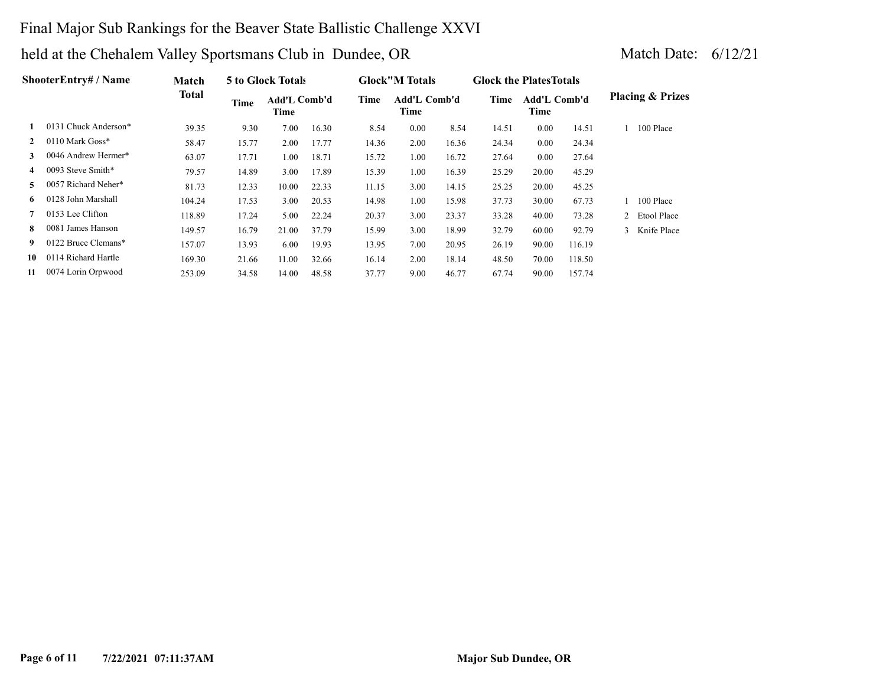## Final Major Sub Rankings for the Beaver State Ballistic Challenge XXVI

|                | <b>ShooterEntry# / Name</b> | Match        |       | 5 to Glock Totals    |       |       | <b>Glock</b> "M Totals      |       | <b>Glock the Plates Totals</b> |                             |        |   |                             |
|----------------|-----------------------------|--------------|-------|----------------------|-------|-------|-----------------------------|-------|--------------------------------|-----------------------------|--------|---|-----------------------------|
|                |                             | <b>Total</b> | Time  | Add'L Comb'd<br>Time |       | Time  | <b>Add'L Comb'd</b><br>Time |       | Time                           | <b>Add'L Comb'd</b><br>Time |        |   | <b>Placing &amp; Prizes</b> |
|                | 0131 Chuck Anderson*        | 39.35        | 9.30  | 7.00                 | 16.30 | 8.54  | 0.00                        | 8.54  | 14.51                          | 0.00                        | 14.51  |   | 100 Place                   |
| $\mathbf{2}$   | 0110 Mark Goss*             | 58.47        | 15.77 | 2.00                 | 17.77 | 14.36 | 2.00                        | 16.36 | 24.34                          | 0.00                        | 24.34  |   |                             |
| 3              | 0046 Andrew Hermer*         | 63.07        | 17.71 | 1.00                 | 18.71 | 15.72 | 1.00                        | 16.72 | 27.64                          | 0.00                        | 27.64  |   |                             |
| $\overline{4}$ | 0093 Steve Smith*           | 79.57        | 14.89 | 3.00                 | 17.89 | 15.39 | 1.00                        | 16.39 | 25.29                          | 20.00                       | 45.29  |   |                             |
| 5.             | 0057 Richard Neher*         | 81.73        | 12.33 | 10.00                | 22.33 | 11.15 | 3.00                        | 14.15 | 25.25                          | 20.00                       | 45.25  |   |                             |
| 6.             | 0128 John Marshall          | 104.24       | 17.53 | 3.00                 | 20.53 | 14.98 | 1.00                        | 15.98 | 37.73                          | 30.00                       | 67.73  |   | 100 Place                   |
| 7              | 0153 Lee Clifton            | 118.89       | 17.24 | 5.00                 | 22.24 | 20.37 | 3.00                        | 23.37 | 33.28                          | 40.00                       | 73.28  | 2 | Etool Place                 |
| 8              | 0081 James Hanson           | 149.57       | 16.79 | 21.00                | 37.79 | 15.99 | 3.00                        | 18.99 | 32.79                          | 60.00                       | 92.79  | 3 | Knife Place                 |
| 9              | 0122 Bruce Clemans*         | 157.07       | 13.93 | 6.00                 | 19.93 | 13.95 | 7.00                        | 20.95 | 26.19                          | 90.00                       | 116.19 |   |                             |
| 10             | 0114 Richard Hartle         | 169.30       | 21.66 | 11.00                | 32.66 | 16.14 | 2.00                        | 18.14 | 48.50                          | 70.00                       | 118.50 |   |                             |
| 11             | 0074 Lorin Orpwood          | 253.09       | 34.58 | 14.00                | 48.58 | 37.77 | 9.00                        | 46.77 | 67.74                          | 90.00                       | 157.74 |   |                             |
|                |                             |              |       |                      |       |       |                             |       |                                |                             |        |   |                             |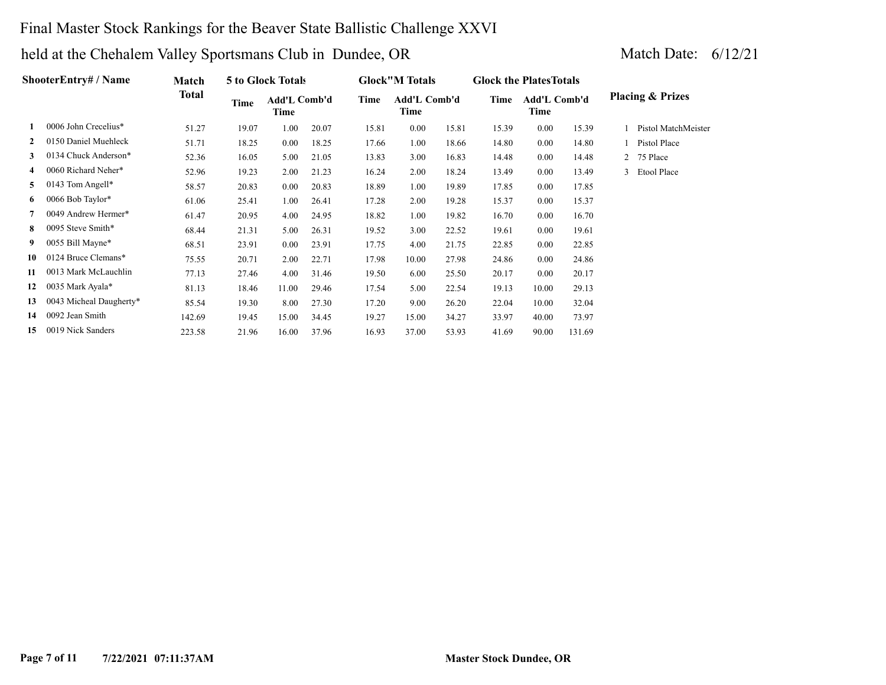## Final Master Stock Rankings for the Beaver State Ballistic Challenge XXVI

|    | <b>ShooterEntry#/Name</b> | Match        |       | 5 to Glock Totals    |       |       | <b>Glock"M Totals</b>       |       | <b>Glock the Plates Totals</b> |                             |        |                |                             |
|----|---------------------------|--------------|-------|----------------------|-------|-------|-----------------------------|-------|--------------------------------|-----------------------------|--------|----------------|-----------------------------|
|    |                           | <b>Total</b> | Time  | Add'L Comb'd<br>Time |       | Time  | <b>Add'L Comb'd</b><br>Time |       | Time                           | <b>Add'L Comb'd</b><br>Time |        |                | <b>Placing &amp; Prizes</b> |
|    | 0006 John Crecelius*      | 51.27        | 19.07 | 1.00                 | 20.07 | 15.81 | 0.00                        | 15.81 | 15.39                          | 0.00                        | 15.39  |                | Pistol MatchMeister         |
| 2  | 0150 Daniel Muehleck      | 51.71        | 18.25 | 0.00                 | 18.25 | 17.66 | 1.00                        | 18.66 | 14.80                          | $0.00\,$                    | 14.80  |                | Pistol Place                |
| 3  | 0134 Chuck Anderson*      | 52.36        | 16.05 | 5.00                 | 21.05 | 13.83 | 3.00                        | 16.83 | 14.48                          | 0.00                        | 14.48  | $\overline{2}$ | 75 Place                    |
| 4  | 0060 Richard Neher*       | 52.96        | 19.23 | 2.00                 | 21.23 | 16.24 | 2.00                        | 18.24 | 13.49                          | 0.00                        | 13.49  | 3              | Etool Place                 |
| 5. | 0143 Tom Angell*          | 58.57        | 20.83 | 0.00                 | 20.83 | 18.89 | 1.00                        | 19.89 | 17.85                          | 0.00                        | 17.85  |                |                             |
| 6  | 0066 Bob Taylor*          | 61.06        | 25.41 | 1.00                 | 26.41 | 17.28 | 2.00                        | 19.28 | 15.37                          | $0.00\,$                    | 15.37  |                |                             |
|    | 0049 Andrew Hermer*       | 61.47        | 20.95 | 4.00                 | 24.95 | 18.82 | 1.00                        | 19.82 | 16.70                          | $0.00\,$                    | 16.70  |                |                             |
| 8  | 0095 Steve Smith*         | 68.44        | 21.31 | 5.00                 | 26.31 | 19.52 | 3.00                        | 22.52 | 19.61                          | $0.00\,$                    | 19.61  |                |                             |
| 9  | 0055 Bill Mayne*          | 68.51        | 23.91 | 0.00                 | 23.91 | 17.75 | 4.00                        | 21.75 | 22.85                          | $0.00\,$                    | 22.85  |                |                             |
| 10 | 0124 Bruce Clemans*       | 75.55        | 20.71 | 2.00                 | 22.71 | 17.98 | 10.00                       | 27.98 | 24.86                          | $0.00\,$                    | 24.86  |                |                             |
| 11 | 0013 Mark McLauchlin      | 77.13        | 27.46 | 4.00                 | 31.46 | 19.50 | 6.00                        | 25.50 | 20.17                          | 0.00                        | 20.17  |                |                             |
| 12 | 0035 Mark Ayala*          | 81.13        | 18.46 | 11.00                | 29.46 | 17.54 | 5.00                        | 22.54 | 19.13                          | 10.00                       | 29.13  |                |                             |
| 13 | 0043 Micheal Daugherty*   | 85.54        | 19.30 | 8.00                 | 27.30 | 17.20 | 9.00                        | 26.20 | 22.04                          | 10.00                       | 32.04  |                |                             |
| 14 | 0092 Jean Smith           | 142.69       | 19.45 | 15.00                | 34.45 | 19.27 | 15.00                       | 34.27 | 33.97                          | 40.00                       | 73.97  |                |                             |
| 15 | 0019 Nick Sanders         | 223.58       | 21.96 | 16.00                | 37.96 | 16.93 | 37.00                       | 53.93 | 41.69                          | 90.00                       | 131.69 |                |                             |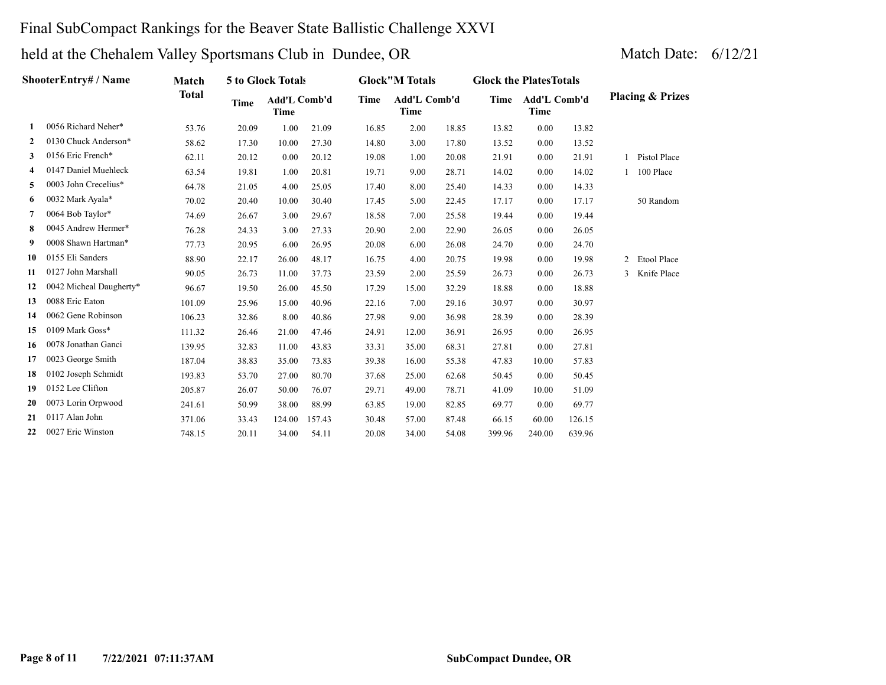## Final SubCompact Rankings for the Beaver State Ballistic Challenge XXVI

|    | ShooterEntry# / Name    | <b>Match</b> |       | 5 to Glock Totals           |        |       | <b>Glock</b> "M Totals      |       | <b>Glock the Plates Totals</b> |                             |        |   |                             |
|----|-------------------------|--------------|-------|-----------------------------|--------|-------|-----------------------------|-------|--------------------------------|-----------------------------|--------|---|-----------------------------|
|    |                         | <b>Total</b> | Time  | Add'L Comb'd<br><b>Time</b> |        | Time  | Add'L Comb'd<br><b>Time</b> |       | Time                           | Add'L Comb'd<br><b>Time</b> |        |   | <b>Placing &amp; Prizes</b> |
| 1. | 0056 Richard Neher*     | 53.76        | 20.09 | 1.00                        | 21.09  | 16.85 | 2.00                        | 18.85 | 13.82                          | 0.00                        | 13.82  |   |                             |
| 2  | 0130 Chuck Anderson*    | 58.62        | 17.30 | 10.00                       | 27.30  | 14.80 | 3.00                        | 17.80 | 13.52                          | 0.00                        | 13.52  |   |                             |
| 3  | 0156 Eric French*       | 62.11        | 20.12 | 0.00                        | 20.12  | 19.08 | 1.00                        | 20.08 | 21.91                          | 0.00                        | 21.91  |   | Pistol Place                |
| 4  | 0147 Daniel Muehleck    | 63.54        | 19.81 | 1.00                        | 20.81  | 19.71 | 9.00                        | 28.71 | 14.02                          | 0.00                        | 14.02  |   | 100 Place                   |
| 5  | 0003 John Crecelius*    | 64.78        | 21.05 | 4.00                        | 25.05  | 17.40 | 8.00                        | 25.40 | 14.33                          | 0.00                        | 14.33  |   |                             |
| 6  | 0032 Mark Ayala*        | 70.02        | 20.40 | 10.00                       | 30.40  | 17.45 | 5.00                        | 22.45 | 17.17                          | 0.00                        | 17.17  |   | 50 Random                   |
| 7  | 0064 Bob Taylor*        | 74.69        | 26.67 | 3.00                        | 29.67  | 18.58 | 7.00                        | 25.58 | 19.44                          | 0.00                        | 19.44  |   |                             |
| 8  | 0045 Andrew Hermer*     | 76.28        | 24.33 | 3.00                        | 27.33  | 20.90 | 2.00                        | 22.90 | 26.05                          | 0.00                        | 26.05  |   |                             |
| 9  | 0008 Shawn Hartman*     | 77.73        | 20.95 | 6.00                        | 26.95  | 20.08 | 6.00                        | 26.08 | 24.70                          | 0.00                        | 24.70  |   |                             |
| 10 | 0155 Eli Sanders        | 88.90        | 22.17 | 26.00                       | 48.17  | 16.75 | 4.00                        | 20.75 | 19.98                          | 0.00                        | 19.98  | 2 | <b>Etool Place</b>          |
| 11 | 0127 John Marshall      | 90.05        | 26.73 | 11.00                       | 37.73  | 23.59 | 2.00                        | 25.59 | 26.73                          | 0.00                        | 26.73  | 3 | Knife Place                 |
| 12 | 0042 Micheal Daugherty* | 96.67        | 19.50 | 26.00                       | 45.50  | 17.29 | 15.00                       | 32.29 | 18.88                          | 0.00                        | 18.88  |   |                             |
| 13 | 0088 Eric Eaton         | 101.09       | 25.96 | 15.00                       | 40.96  | 22.16 | 7.00                        | 29.16 | 30.97                          | 0.00                        | 30.97  |   |                             |
| 14 | 0062 Gene Robinson      | 106.23       | 32.86 | 8.00                        | 40.86  | 27.98 | 9.00                        | 36.98 | 28.39                          | 0.00                        | 28.39  |   |                             |
| 15 | 0109 Mark Goss*         | 111.32       | 26.46 | 21.00                       | 47.46  | 24.91 | 12.00                       | 36.91 | 26.95                          | 0.00                        | 26.95  |   |                             |
| 16 | 0078 Jonathan Ganci     | 139.95       | 32.83 | 11.00                       | 43.83  | 33.31 | 35.00                       | 68.31 | 27.81                          | 0.00                        | 27.81  |   |                             |
| 17 | 0023 George Smith       | 187.04       | 38.83 | 35.00                       | 73.83  | 39.38 | 16.00                       | 55.38 | 47.83                          | 10.00                       | 57.83  |   |                             |
| 18 | 0102 Joseph Schmidt     | 193.83       | 53.70 | 27.00                       | 80.70  | 37.68 | 25.00                       | 62.68 | 50.45                          | 0.00                        | 50.45  |   |                             |
| 19 | 0152 Lee Clifton        | 205.87       | 26.07 | 50.00                       | 76.07  | 29.71 | 49.00                       | 78.71 | 41.09                          | 10.00                       | 51.09  |   |                             |
| 20 | 0073 Lorin Orpwood      | 241.61       | 50.99 | 38.00                       | 88.99  | 63.85 | 19.00                       | 82.85 | 69.77                          | 0.00                        | 69.77  |   |                             |
| 21 | 0117 Alan John          | 371.06       | 33.43 | 124.00                      | 157.43 | 30.48 | 57.00                       | 87.48 | 66.15                          | 60.00                       | 126.15 |   |                             |
| 22 | 0027 Eric Winston       | 748.15       | 20.11 | 34.00                       | 54.11  | 20.08 | 34.00                       | 54.08 | 399.96                         | 240.00                      | 639.96 |   |                             |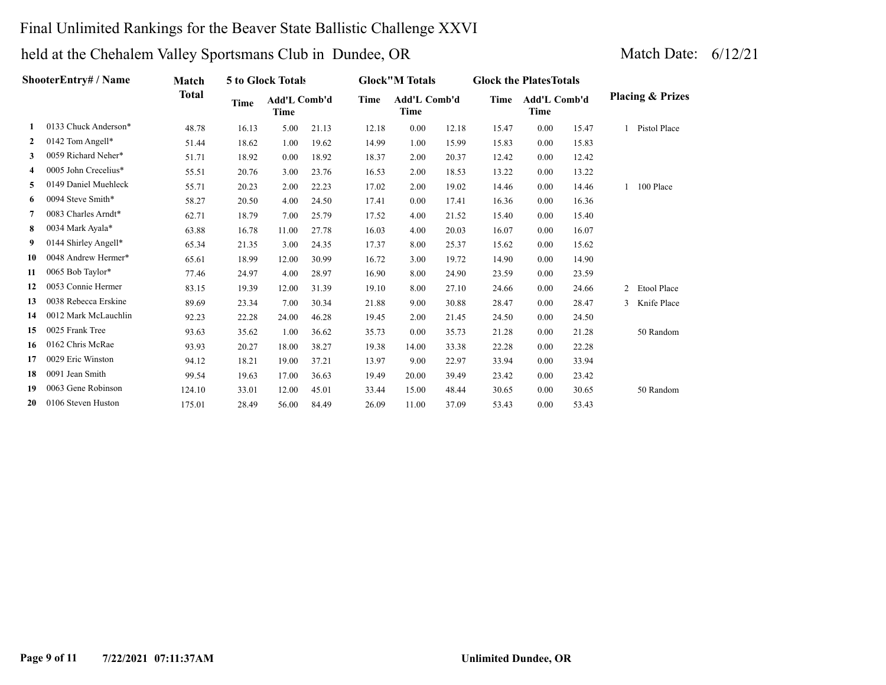## Final Unlimited Rankings for the Beaver State Ballistic Challenge XXVI

|              | <b>ShooterEntry# / Name</b> | Match        |       | 5 to Glock Totals           |       |       | <b>Glock</b> "M Totals |       | <b>Glock the Plates Totals</b> |                             |       |              |                             |
|--------------|-----------------------------|--------------|-------|-----------------------------|-------|-------|------------------------|-------|--------------------------------|-----------------------------|-------|--------------|-----------------------------|
|              |                             | <b>Total</b> | Time  | <b>Add'L Comb'd</b><br>Time |       | Time  | Add'L Comb'd<br>Time   |       | Time                           | <b>Add'L Comb'd</b><br>Time |       |              | <b>Placing &amp; Prizes</b> |
| 1.           | 0133 Chuck Anderson*        | 48.78        | 16.13 | 5.00                        | 21.13 | 12.18 | 0.00                   | 12.18 | 15.47                          | 0.00                        | 15.47 |              | Pistol Place                |
| $\mathbf{2}$ | 0142 Tom Angell*            | 51.44        | 18.62 | 1.00                        | 19.62 | 14.99 | 1.00                   | 15.99 | 15.83                          | 0.00                        | 15.83 |              |                             |
| 3            | 0059 Richard Neher*         | 51.71        | 18.92 | 0.00                        | 18.92 | 18.37 | 2.00                   | 20.37 | 12.42                          | 0.00                        | 12.42 |              |                             |
| 4            | 0005 John Crecelius*        | 55.51        | 20.76 | 3.00                        | 23.76 | 16.53 | 2.00                   | 18.53 | 13.22                          | 0.00                        | 13.22 |              |                             |
| 5            | 0149 Daniel Muehleck        | 55.71        | 20.23 | 2.00                        | 22.23 | 17.02 | 2.00                   | 19.02 | 14.46                          | 0.00                        | 14.46 |              | 100 Place                   |
| 6            | 0094 Steve Smith*           | 58.27        | 20.50 | 4.00                        | 24.50 | 17.41 | 0.00                   | 17.41 | 16.36                          | 0.00                        | 16.36 |              |                             |
| 7            | 0083 Charles Arndt*         | 62.71        | 18.79 | 7.00                        | 25.79 | 17.52 | 4.00                   | 21.52 | 15.40                          | 0.00                        | 15.40 |              |                             |
| 8            | 0034 Mark Ayala*            | 63.88        | 16.78 | 11.00                       | 27.78 | 16.03 | 4.00                   | 20.03 | 16.07                          | 0.00                        | 16.07 |              |                             |
| 9            | 0144 Shirley Angell*        | 65.34        | 21.35 | 3.00                        | 24.35 | 17.37 | 8.00                   | 25.37 | 15.62                          | 0.00                        | 15.62 |              |                             |
| 10           | 0048 Andrew Hermer*         | 65.61        | 18.99 | 12.00                       | 30.99 | 16.72 | 3.00                   | 19.72 | 14.90                          | 0.00                        | 14.90 |              |                             |
| 11           | 0065 Bob Taylor*            | 77.46        | 24.97 | 4.00                        | 28.97 | 16.90 | 8.00                   | 24.90 | 23.59                          | 0.00                        | 23.59 |              |                             |
| 12           | 0053 Connie Hermer          | 83.15        | 19.39 | 12.00                       | 31.39 | 19.10 | 8.00                   | 27.10 | 24.66                          | 0.00                        | 24.66 | $\mathbf{2}$ | Etool Place                 |
| 13           | 0038 Rebecca Erskine        | 89.69        | 23.34 | 7.00                        | 30.34 | 21.88 | 9.00                   | 30.88 | 28.47                          | 0.00                        | 28.47 | 3            | Knife Place                 |
| 14           | 0012 Mark McLauchlin        | 92.23        | 22.28 | 24.00                       | 46.28 | 19.45 | 2.00                   | 21.45 | 24.50                          | 0.00                        | 24.50 |              |                             |
| 15           | 0025 Frank Tree             | 93.63        | 35.62 | 1.00                        | 36.62 | 35.73 | 0.00                   | 35.73 | 21.28                          | 0.00                        | 21.28 |              | 50 Random                   |
| 16           | 0162 Chris McRae            | 93.93        | 20.27 | 18.00                       | 38.27 | 19.38 | 14.00                  | 33.38 | 22.28                          | 0.00                        | 22.28 |              |                             |
| 17           | 0029 Eric Winston           | 94.12        | 18.21 | 19.00                       | 37.21 | 13.97 | 9.00                   | 22.97 | 33.94                          | 0.00                        | 33.94 |              |                             |
| 18           | 0091 Jean Smith             | 99.54        | 19.63 | 17.00                       | 36.63 | 19.49 | 20.00                  | 39.49 | 23.42                          | 0.00                        | 23.42 |              |                             |
| 19           | 0063 Gene Robinson          | 124.10       | 33.01 | 12.00                       | 45.01 | 33.44 | 15.00                  | 48.44 | 30.65                          | 0.00                        | 30.65 |              | 50 Random                   |
| 20           | 0106 Steven Huston          | 175.01       | 28.49 | 56.00                       | 84.49 | 26.09 | 11.00                  | 37.09 | 53.43                          | 0.00                        | 53.43 |              |                             |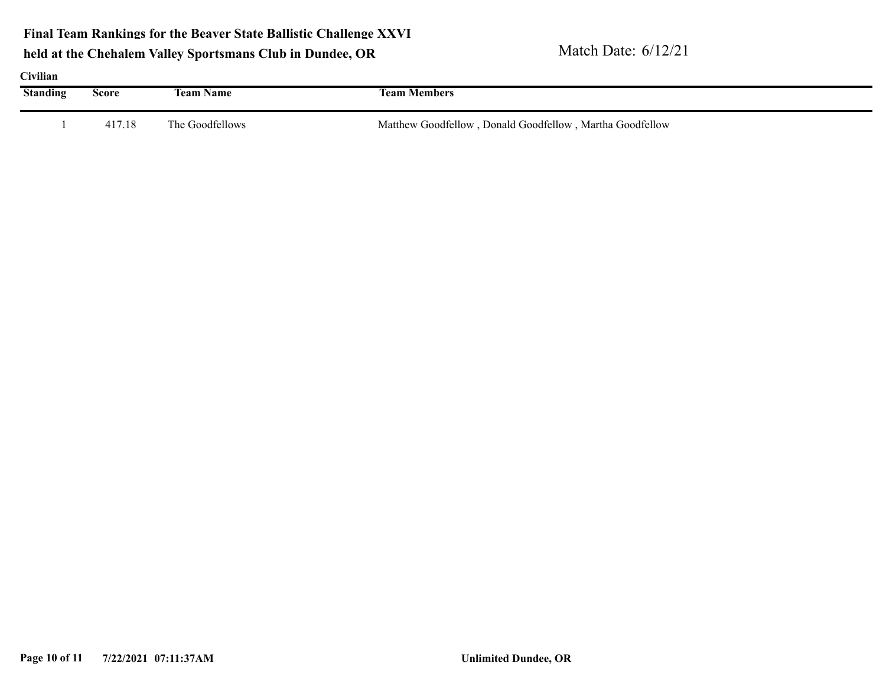**Final Team Rankings for the Beaver State Ballistic Challenge XXVI**

| Civilian        |              |                  |                                                          |
|-----------------|--------------|------------------|----------------------------------------------------------|
| <b>Standing</b> | <b>Score</b> | <b>Team Name</b> | <b>Team Members</b>                                      |
|                 | 417.18       | The Goodfellows  | Matthew Goodfellow, Donald Goodfellow, Martha Goodfellow |